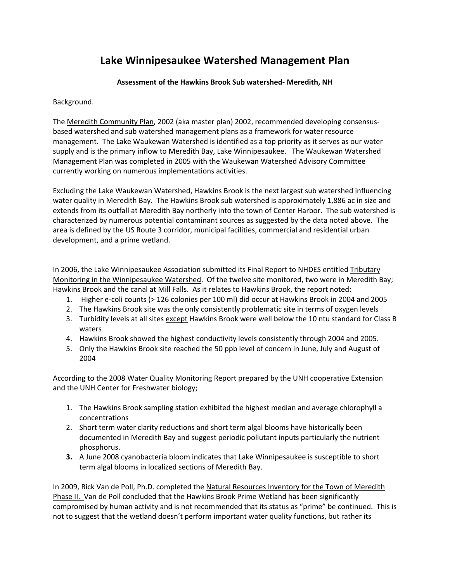## **Lake Winnipesaukee Watershed Management Plan**

## **Assessment of the Hawkins Brook Sub watershed‐ Meredith, NH**

Background.

The Meredith Community Plan, 2002 (aka master plan) 2002, recommended developing consensus‐ based watershed and sub watershed management plans as a framework for water resource management. The Lake Waukewan Watershed is identified as a top priority as it serves as our water supply and is the primary inflow to Meredith Bay, Lake Winnipesaukee. The Waukewan Watershed Management Plan was completed in 2005 with the Waukewan Watershed Advisory Committee currently working on numerous implementations activities.

Excluding the Lake Waukewan Watershed, Hawkins Brook is the next largest sub watershed influencing water quality in Meredith Bay. The Hawkins Brook sub watershed is approximately 1,886 ac in size and extends from its outfall at Meredith Bay northerly into the town of Center Harbor. The sub watershed is characterized by numerous potential contaminant sources as suggested by the data noted above. The area is defined by the US Route 3 corridor, municipal facilities, commercial and residential urban development, and a prime wetland.

In 2006, the Lake Winnipesaukee Association submitted its Final Report to NHDES entitled Tributary Monitoring in the Winnipesaukee Watershed. Of the twelve site monitored, two were in Meredith Bay; Hawkins Brook and the canal at Mill Falls. As it relates to Hawkins Brook, the report noted:

- 1. Higher e‐coli counts (> 126 colonies per 100 ml) did occur at Hawkins Brook in 2004 and 2005
- 2. The Hawkins Brook site was the only consistently problematic site in terms of oxygen levels
- 3. Turbidity levels at all sites except Hawkins Brook were well below the 10 ntu standard for Class B waters
- 4. Hawkins Brook showed the highest conductivity levels consistently through 2004 and 2005.
- 5. Only the Hawkins Brook site reached the 50 ppb level of concern in June, July and August of 2004

According to the 2008 Water Quality Monitoring Report prepared by the UNH cooperative Extension and the UNH Center for Freshwater biology;

- 1. The Hawkins Brook sampling station exhibited the highest median and average chlorophyll a concentrations
- 2. Short term water clarity reductions and short term algal blooms have historically been documented in Meredith Bay and suggest periodic pollutant inputs particularly the nutrient phosphorus.
- **3.** A June 2008 cyanobacteria bloom indicates that Lake Winnipesaukee is susceptible to short term algal blooms in localized sections of Meredith Bay.

In 2009, Rick Van de Poll, Ph.D. completed the Natural Resources Inventory for the Town of Meredith Phase II. Van de Poll concluded that the Hawkins Brook Prime Wetland has been significantly compromised by human activity and is not recommended that its status as "prime" be continued. This is not to suggest that the wetland doesn't perform important water quality functions, but rather its